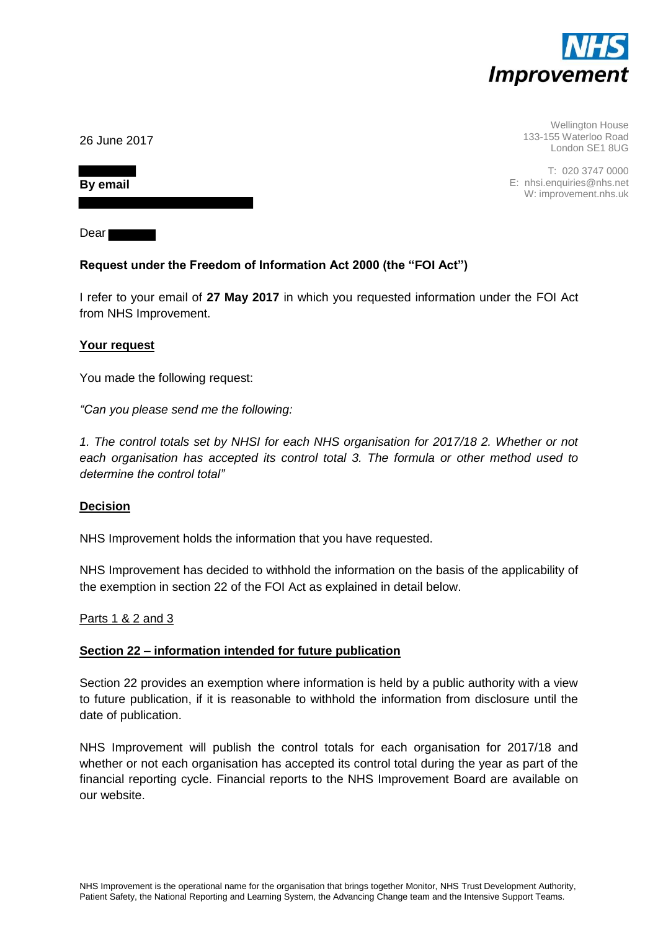

Wellington House 133-155 Waterloo Road London SE1 8UG

T: 020 3747 0000 E: nhsi.enquiries@nhs.net W: improvement.nhs.uk

26 June 2017

**By email** 

Dear

# **Request under the Freedom of Information Act 2000 (the "FOI Act")**

I refer to your email of **27 May 2017** in which you requested information under the FOI Act from NHS Improvement.

## **Your request**

You made the following request:

*"Can you please send me the following:* 

*1. The control totals set by NHSI for each NHS organisation for 2017/18 2. Whether or not each organisation has accepted its control total 3. The formula or other method used to determine the control total"*

## **Decision**

NHS Improvement holds the information that you have requested.

NHS Improvement has decided to withhold the information on the basis of the applicability of the exemption in section 22 of the FOI Act as explained in detail below.

Parts 1 & 2 and 3

### **Section 22 – information intended for future publication**

Section 22 provides an exemption where information is held by a public authority with a view to future publication, if it is reasonable to withhold the information from disclosure until the date of publication.

NHS Improvement will publish the control totals for each organisation for 2017/18 and whether or not each organisation has accepted its control total during the year as part of the financial reporting cycle. Financial reports to the NHS Improvement Board are available on our website.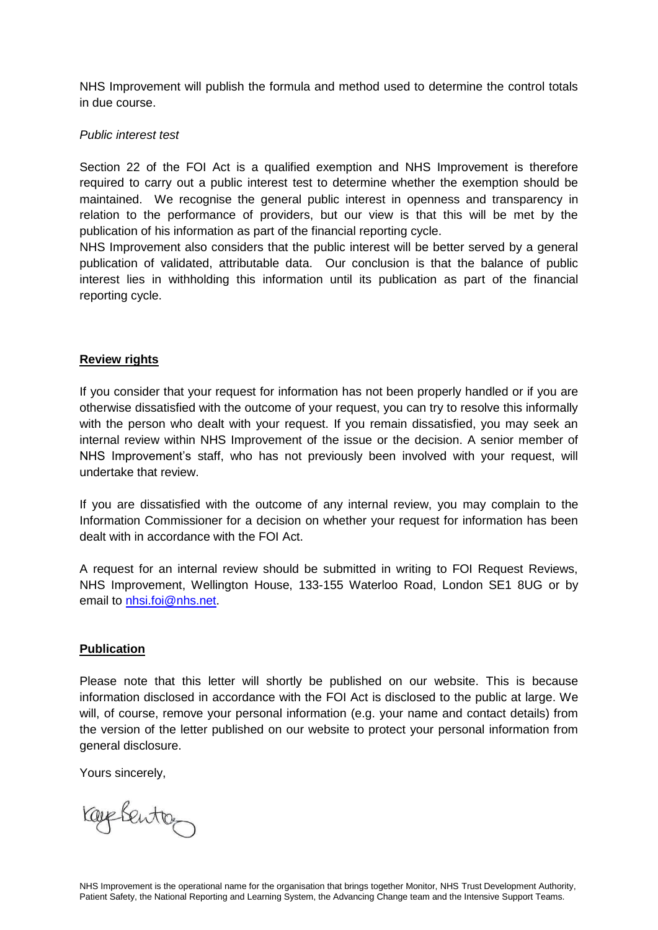NHS Improvement will publish the formula and method used to determine the control totals in due course.

## *Public interest test*

Section 22 of the FOI Act is a qualified exemption and NHS Improvement is therefore required to carry out a public interest test to determine whether the exemption should be maintained. We recognise the general public interest in openness and transparency in relation to the performance of providers, but our view is that this will be met by the publication of his information as part of the financial reporting cycle.

NHS Improvement also considers that the public interest will be better served by a general publication of validated, attributable data. Our conclusion is that the balance of public interest lies in withholding this information until its publication as part of the financial reporting cycle.

## **Review rights**

If you consider that your request for information has not been properly handled or if you are otherwise dissatisfied with the outcome of your request, you can try to resolve this informally with the person who dealt with your request. If you remain dissatisfied, you may seek an internal review within NHS Improvement of the issue or the decision. A senior member of NHS Improvement's staff, who has not previously been involved with your request, will undertake that review.

If you are dissatisfied with the outcome of any internal review, you may complain to the Information Commissioner for a decision on whether your request for information has been dealt with in accordance with the FOI Act.

A request for an internal review should be submitted in writing to FOI Request Reviews, NHS Improvement, Wellington House, 133-155 Waterloo Road, London SE1 8UG or by email to [nhsi.foi@nhs.net.](mailto:nhsi.foi@nhs.net)

### **Publication**

Please note that this letter will shortly be published on our website. This is because information disclosed in accordance with the FOI Act is disclosed to the public at large. We will, of course, remove your personal information (e.g. your name and contact details) from the version of the letter published on our website to protect your personal information from general disclosure.

Yours sincerely,

ray Sento